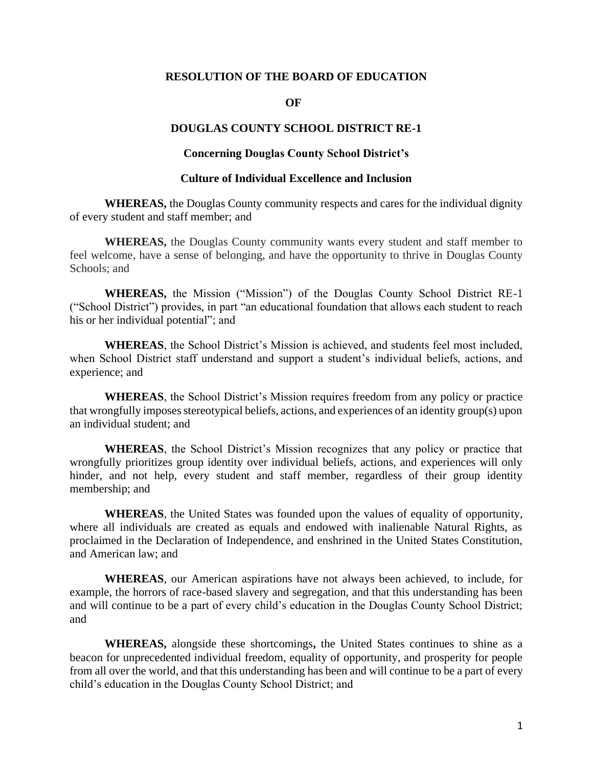## **RESOLUTION OF THE BOARD OF EDUCATION**

#### **OF**

# **DOUGLAS COUNTY SCHOOL DISTRICT RE-1**

### **Concerning Douglas County School District's**

#### **Culture of Individual Excellence and Inclusion**

**WHEREAS,** the Douglas County community respects and cares for the individual dignity of every student and staff member; and

**WHEREAS,** the Douglas County community wants every student and staff member to feel welcome, have a sense of belonging, and have the opportunity to thrive in Douglas County Schools; and

**WHEREAS,** the Mission ("Mission") of the Douglas County School District RE-1 ("School District") provides, in part "an educational foundation that allows each student to reach his or her individual potential"; and

**WHEREAS**, the School District's Mission is achieved, and students feel most included, when School District staff understand and support a student's individual beliefs, actions, and experience; and

**WHEREAS**, the School District's Mission requires freedom from any policy or practice that wrongfully imposes stereotypical beliefs, actions, and experiences of an identity group(s) upon an individual student; and

**WHEREAS**, the School District's Mission recognizes that any policy or practice that wrongfully prioritizes group identity over individual beliefs, actions, and experiences will only hinder, and not help, every student and staff member, regardless of their group identity membership; and

**WHEREAS**, the United States was founded upon the values of equality of opportunity, where all individuals are created as equals and endowed with inalienable Natural Rights, as proclaimed in the Declaration of Independence, and enshrined in the United States Constitution, and American law; and

**WHEREAS**, our American aspirations have not always been achieved, to include, for example, the horrors of race-based slavery and segregation, and that this understanding has been and will continue to be a part of every child's education in the Douglas County School District; and

**WHEREAS,** alongside these shortcomings**,** the United States continues to shine as a beacon for unprecedented individual freedom, equality of opportunity, and prosperity for people from all over the world, and that this understanding has been and will continue to be a part of every child's education in the Douglas County School District; and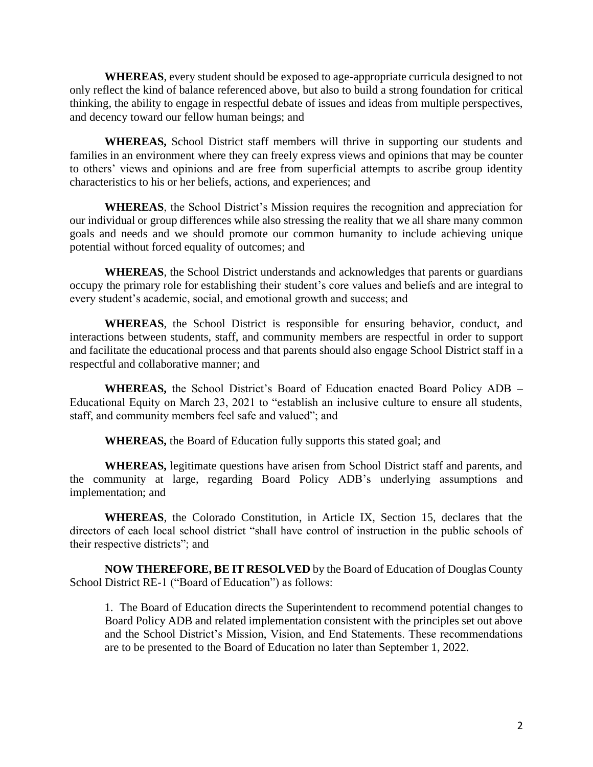**WHEREAS**, every student should be exposed to age-appropriate curricula designed to not only reflect the kind of balance referenced above, but also to build a strong foundation for critical thinking, the ability to engage in respectful debate of issues and ideas from multiple perspectives, and decency toward our fellow human beings; and

**WHEREAS,** School District staff members will thrive in supporting our students and families in an environment where they can freely express views and opinions that may be counter to others' views and opinions and are free from superficial attempts to ascribe group identity characteristics to his or her beliefs, actions, and experiences; and

**WHEREAS**, the School District's Mission requires the recognition and appreciation for our individual or group differences while also stressing the reality that we all share many common goals and needs and we should promote our common humanity to include achieving unique potential without forced equality of outcomes; and

**WHEREAS**, the School District understands and acknowledges that parents or guardians occupy the primary role for establishing their student's core values and beliefs and are integral to every student's academic, social, and emotional growth and success; and

**WHEREAS**, the School District is responsible for ensuring behavior, conduct, and interactions between students, staff, and community members are respectful in order to support and facilitate the educational process and that parents should also engage School District staff in a respectful and collaborative manner; and

**WHEREAS,** the School District's Board of Education enacted Board Policy ADB – Educational Equity on March 23, 2021 to "establish an inclusive culture to ensure all students, staff, and community members feel safe and valued"; and

**WHEREAS,** the Board of Education fully supports this stated goal; and

**WHEREAS,** legitimate questions have arisen from School District staff and parents, and the community at large, regarding Board Policy ADB's underlying assumptions and implementation; and

**WHEREAS**, the Colorado Constitution, in Article IX, Section 15, declares that the directors of each local school district "shall have control of instruction in the public schools of their respective districts"; and

**NOW THEREFORE, BE IT RESOLVED** by the Board of Education of Douglas County School District RE-1 ("Board of Education") as follows:

1. The Board of Education directs the Superintendent to recommend potential changes to Board Policy ADB and related implementation consistent with the principles set out above and the School District's Mission, Vision, and End Statements. These recommendations are to be presented to the Board of Education no later than September 1, 2022.